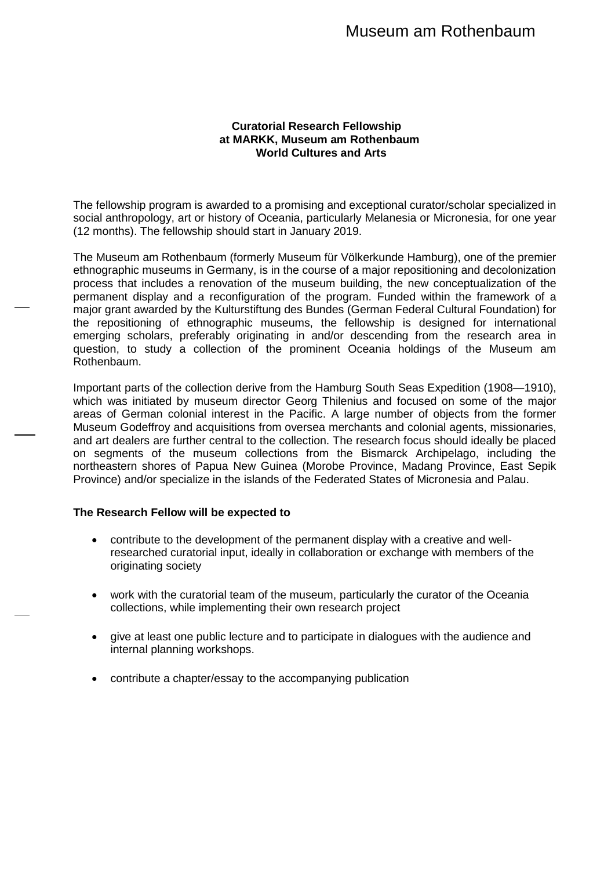# Museum am Rothenbaum

## **Curatorial Research Fellowship at MARKK, Museum am Rothenbaum World Cultures and Arts**

The fellowship program is awarded to a promising and exceptional curator/scholar specialized in social anthropology, art or history of Oceania, particularly Melanesia or Micronesia, for one year (12 months). The fellowship should start in January 2019.

The Museum am Rothenbaum (formerly Museum für Völkerkunde Hamburg), one of the premier ethnographic museums in Germany, is in the course of a major repositioning and decolonization process that includes a renovation of the museum building, the new conceptualization of the permanent display and a reconfiguration of the program. Funded within the framework of a major grant awarded by the Kulturstiftung des Bundes (German Federal Cultural Foundation) for the repositioning of ethnographic museums, the fellowship is designed for international emerging scholars, preferably originating in and/or descending from the research area in question, to study a collection of the prominent Oceania holdings of the Museum am Rothenbaum.

Important parts of the collection derive from the Hamburg South Seas Expedition (1908—1910), which was initiated by museum director Georg Thilenius and focused on some of the major areas of German colonial interest in the Pacific. A large number of objects from the former Museum Godeffroy and acquisitions from oversea merchants and colonial agents, missionaries, and art dealers are further central to the collection. The research focus should ideally be placed on segments of the museum collections from the Bismarck Archipelago, including the northeastern shores of Papua New Guinea (Morobe Province, Madang Province, East Sepik Province) and/or specialize in the islands of the Federated States of Micronesia and Palau.

### **The Research Fellow will be expected to**

- contribute to the development of the permanent display with a creative and wellresearched curatorial input, ideally in collaboration or exchange with members of the originating society
- work with the curatorial team of the museum, particularly the curator of the Oceania collections, while implementing their own research project
- give at least one public lecture and to participate in dialogues with the audience and internal planning workshops.
- contribute a chapter/essay to the accompanying publication